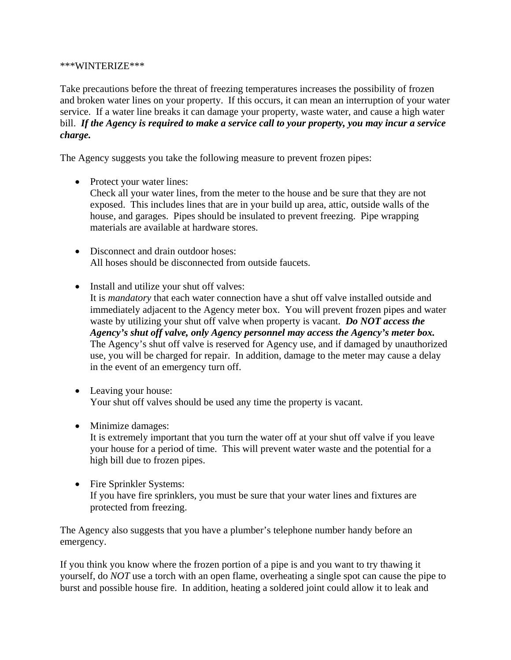## \*\*\*WINTERIZE\*\*\*

Take precautions before the threat of freezing temperatures increases the possibility of frozen and broken water lines on your property. If this occurs, it can mean an interruption of your water service. If a water line breaks it can damage your property, waste water, and cause a high water bill. *If the Agency is required to make a service call to your property, you may incur a service charge.*

The Agency suggests you take the following measure to prevent frozen pipes:

• Protect your water lines:

Check all your water lines, from the meter to the house and be sure that they are not exposed. This includes lines that are in your build up area, attic, outside walls of the house, and garages. Pipes should be insulated to prevent freezing. Pipe wrapping materials are available at hardware stores.

- Disconnect and drain outdoor hoses: All hoses should be disconnected from outside faucets.
- Install and utilize your shut off valves:

It is *mandatory* that each water connection have a shut off valve installed outside and immediately adjacent to the Agency meter box. You will prevent frozen pipes and water waste by utilizing your shut off valve when property is vacant. *Do NOT access the Agency's shut off valve, only Agency personnel may access the Agency's meter box.* The Agency's shut off valve is reserved for Agency use, and if damaged by unauthorized use, you will be charged for repair. In addition, damage to the meter may cause a delay in the event of an emergency turn off.

- Leaving your house: Your shut off valves should be used any time the property is vacant.
- Minimize damages:

It is extremely important that you turn the water off at your shut off valve if you leave your house for a period of time. This will prevent water waste and the potential for a high bill due to frozen pipes.

• Fire Sprinkler Systems: If you have fire sprinklers, you must be sure that your water lines and fixtures are protected from freezing.

The Agency also suggests that you have a plumber's telephone number handy before an emergency.

If you think you know where the frozen portion of a pipe is and you want to try thawing it yourself, do *NOT* use a torch with an open flame, overheating a single spot can cause the pipe to burst and possible house fire. In addition, heating a soldered joint could allow it to leak and